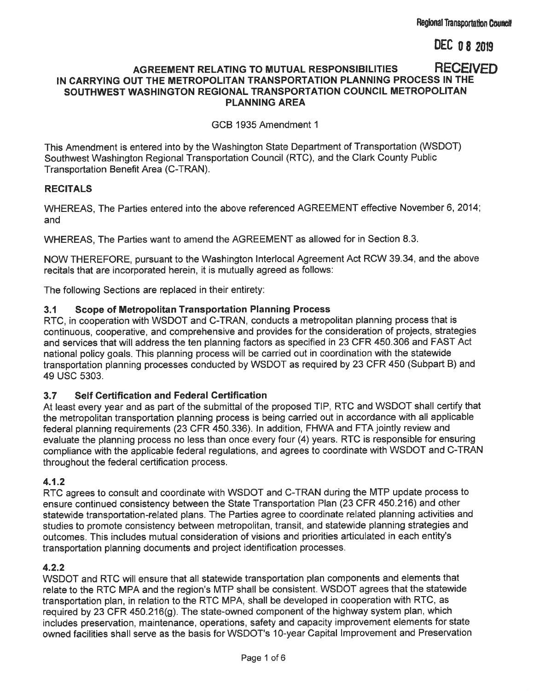**DEC 0 8 2019** 

#### **RECEIVED** AGREEMENT RELATING TO MUTUAL RESPONSIBILITIES IN CARRYING OUT THE METROPOLITAN TRANSPORTATION PLANNING PROCESS IN THE SOUTHWEST WASHINGTON REGIONAL TRANSPORTATION COUNCIL METROPOLITAN **PLANNING AREA**

GCB 1935 Amendment 1

This Amendment is entered into by the Washington State Department of Transportation (WSDOT) Southwest Washington Regional Transportation Council (RTC), and the Clark County Public Transportation Benefit Area (C-TRAN).

#### **RECITALS**

WHEREAS. The Parties entered into the above referenced AGREEMENT effective November 6, 2014; and

WHEREAS. The Parties want to amend the AGREEMENT as allowed for in Section 8.3.

NOW THEREFORE, pursuant to the Washington Interlocal Agreement Act RCW 39.34, and the above recitals that are incorporated herein, it is mutually agreed as follows:

The following Sections are replaced in their entirety:

#### $3.1$ **Scope of Metropolitan Transportation Planning Process**

RTC, in cooperation with WSDOT and C-TRAN, conducts a metropolitan planning process that is continuous, cooperative, and comprehensive and provides for the consideration of projects, strategies and services that will address the ten planning factors as specified in 23 CFR 450.306 and FAST Act national policy goals. This planning process will be carried out in coordination with the statewide transportation planning processes conducted by WSDOT as required by 23 CFR 450 (Subpart B) and 49 USC 5303.

#### $3.7$ **Self Certification and Federal Certification**

At least every year and as part of the submittal of the proposed TIP, RTC and WSDOT shall certify that the metropolitan transportation planning process is being carried out in accordance with all applicable federal planning requirements (23 CFR 450.336). In addition, FHWA and FTA jointly review and evaluate the planning process no less than once every four (4) years. RTC is responsible for ensuring compliance with the applicable federal regulations, and agrees to coordinate with WSDOT and C-TRAN throughout the federal certification process.

#### $4.1.2$

RTC agrees to consult and coordinate with WSDOT and C-TRAN during the MTP update process to ensure continued consistency between the State Transportation Plan (23 CFR 450.216) and other statewide transportation-related plans. The Parties agree to coordinate related planning activities and studies to promote consistency between metropolitan, transit, and statewide planning strategies and outcomes. This includes mutual consideration of visions and priorities articulated in each entity's transportation planning documents and project identification processes.

#### $4.2.2$

WSDOT and RTC will ensure that all statewide transportation plan components and elements that relate to the RTC MPA and the region's MTP shall be consistent. WSDOT agrees that the statewide transportation plan, in relation to the RTC MPA, shall be developed in cooperation with RTC, as required by 23 CFR 450.216(g). The state-owned component of the highway system plan, which includes preservation, maintenance, operations, safety and capacity improvement elements for state owned facilities shall serve as the basis for WSDOT's 10-year Capital Improvement and Preservation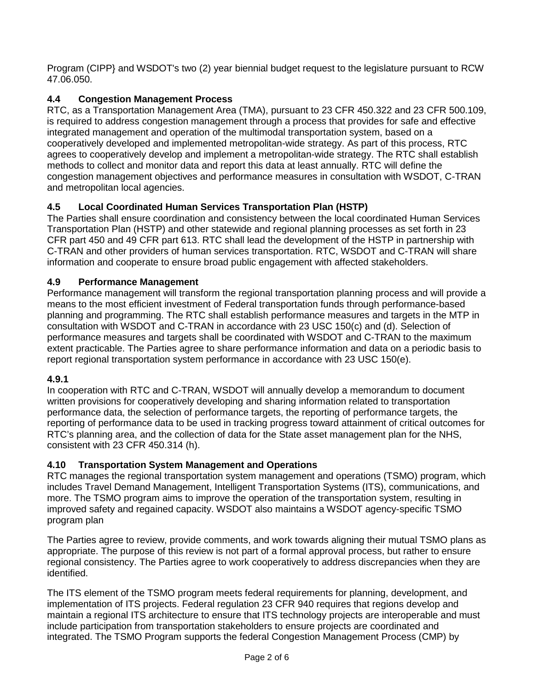Program (CIPP} and WSDOT's two (2) year biennial budget request to the legislature pursuant to RCW 47.06.050.

# **4.4 Congestion Management Process**

RTC, as a Transportation Management Area (TMA), pursuant to 23 CFR 450.322 and 23 CFR 500.109, is required to address congestion management through a process that provides for safe and effective integrated management and operation of the multimodal transportation system, based on a cooperatively developed and implemented metropolitan-wide strategy. As part of this process, RTC agrees to cooperatively develop and implement a metropolitan-wide strategy. The RTC shall establish methods to collect and monitor data and report this data at least annually. RTC will define the congestion management objectives and performance measures in consultation with WSDOT, C-TRAN and metropolitan local agencies.

## **4.5 Local Coordinated Human Services Transportation Plan (HSTP)**

The Parties shall ensure coordination and consistency between the local coordinated Human Services Transportation Plan (HSTP) and other statewide and regional planning processes as set forth in 23 CFR part 450 and 49 CFR part 613. RTC shall lead the development of the HSTP in partnership with C-TRAN and other providers of human services transportation. RTC, WSDOT and C-TRAN will share information and cooperate to ensure broad public engagement with affected stakeholders.

## **4.9 Performance Management**

Performance management will transform the regional transportation planning process and will provide a means to the most efficient investment of Federal transportation funds through performance-based planning and programming. The RTC shall establish performance measures and targets in the MTP in consultation with WSDOT and C-TRAN in accordance with 23 USC 150(c) and (d). Selection of performance measures and targets shall be coordinated with WSDOT and C-TRAN to the maximum extent practicable. The Parties agree to share performance information and data on a periodic basis to report regional transportation system performance in accordance with 23 USC 150(e).

## **4.9.1**

In cooperation with RTC and C-TRAN, WSDOT will annually develop a memorandum to document written provisions for cooperatively developing and sharing information related to transportation performance data, the selection of performance targets, the reporting of performance targets, the reporting of performance data to be used in tracking progress toward attainment of critical outcomes for RTC's planning area, and the collection of data for the State asset management plan for the NHS, consistent with 23 CFR 450.314 (h).

## **4.10 Transportation System Management and Operations**

RTC manages the regional transportation system management and operations (TSMO) program, which includes Travel Demand Management, Intelligent Transportation Systems (ITS), communications, and more. The TSMO program aims to improve the operation of the transportation system, resulting in improved safety and regained capacity. WSDOT also maintains a WSDOT agency-specific TSMO program plan

The Parties agree to review, provide comments, and work towards aligning their mutual TSMO plans as appropriate. The purpose of this review is not part of a formal approval process, but rather to ensure regional consistency. The Parties agree to work cooperatively to address discrepancies when they are identified.

The ITS element of the TSMO program meets federal requirements for planning, development, and implementation of ITS projects. Federal regulation 23 CFR 940 requires that regions develop and maintain a regional ITS architecture to ensure that ITS technology projects are interoperable and must include participation from transportation stakeholders to ensure projects are coordinated and integrated. The TSMO Program supports the federal Congestion Management Process (CMP) by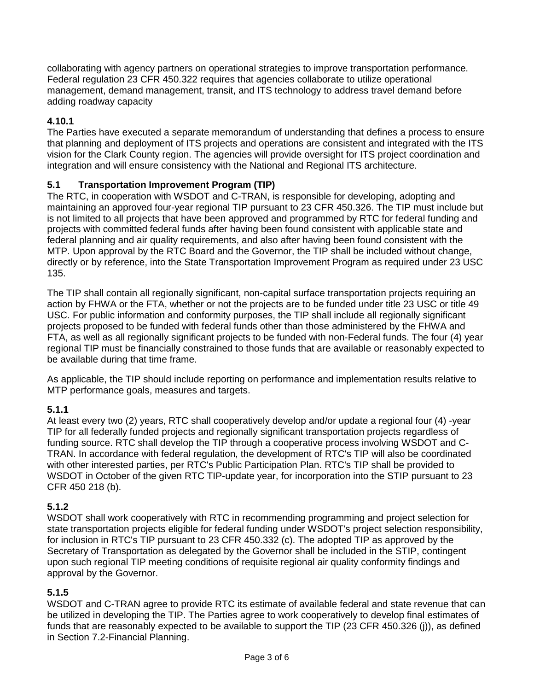collaborating with agency partners on operational strategies to improve transportation performance. Federal regulation 23 CFR 450.322 requires that agencies collaborate to utilize operational management, demand management, transit, and ITS technology to address travel demand before adding roadway capacity

## **4.10.1**

The Parties have executed a separate memorandum of understanding that defines a process to ensure that planning and deployment of ITS projects and operations are consistent and integrated with the ITS vision for the Clark County region. The agencies will provide oversight for ITS project coordination and integration and will ensure consistency with the National and Regional ITS architecture.

#### **5.1 Transportation Improvement Program (TIP)**

The RTC, in cooperation with WSDOT and C-TRAN, is responsible for developing, adopting and maintaining an approved four-year regional TIP pursuant to 23 CFR 450.326. The TIP must include but is not limited to all projects that have been approved and programmed by RTC for federal funding and projects with committed federal funds after having been found consistent with applicable state and federal planning and air quality requirements, and also after having been found consistent with the MTP. Upon approval by the RTC Board and the Governor, the TIP shall be included without change, directly or by reference, into the State Transportation Improvement Program as required under 23 USC 135.

The TIP shall contain all regionally significant, non-capital surface transportation projects requiring an action by FHWA or the FTA, whether or not the projects are to be funded under title 23 USC or title 49 USC. For public information and conformity purposes, the TIP shall include all regionally significant projects proposed to be funded with federal funds other than those administered by the FHWA and FTA, as well as all regionally significant projects to be funded with non-Federal funds. The four (4) year regional TIP must be financially constrained to those funds that are available or reasonably expected to be available during that time frame.

As applicable, the TIP should include reporting on performance and implementation results relative to MTP performance goals, measures and targets.

#### **5.1.1**

At least every two (2) years, RTC shall cooperatively develop and/or update a regional four (4) -year TIP for all federally funded projects and regionally significant transportation projects regardless of funding source. RTC shall develop the TIP through a cooperative process involving WSDOT and C-TRAN. In accordance with federal regulation, the development of RTC's TIP will also be coordinated with other interested parties, per RTC's Public Participation Plan. RTC's TIP shall be provided to WSDOT in October of the given RTC TIP-update year, for incorporation into the STIP pursuant to 23 CFR 450 218 (b).

#### **5.1.2**

WSDOT shall work cooperatively with RTC in recommending programming and project selection for state transportation projects eligible for federal funding under WSDOT's project selection responsibility, for inclusion in RTC's TIP pursuant to 23 CFR 450.332 (c). The adopted TIP as approved by the Secretary of Transportation as delegated by the Governor shall be included in the STIP, contingent upon such regional TIP meeting conditions of requisite regional air quality conformity findings and approval by the Governor.

## **5.1.5**

WSDOT and C-TRAN agree to provide RTC its estimate of available federal and state revenue that can be utilized in developing the TIP. The Parties agree to work cooperatively to develop final estimates of funds that are reasonably expected to be available to support the TIP (23 CFR 450.326 (j)), as defined in Section 7.2-Financial Planning.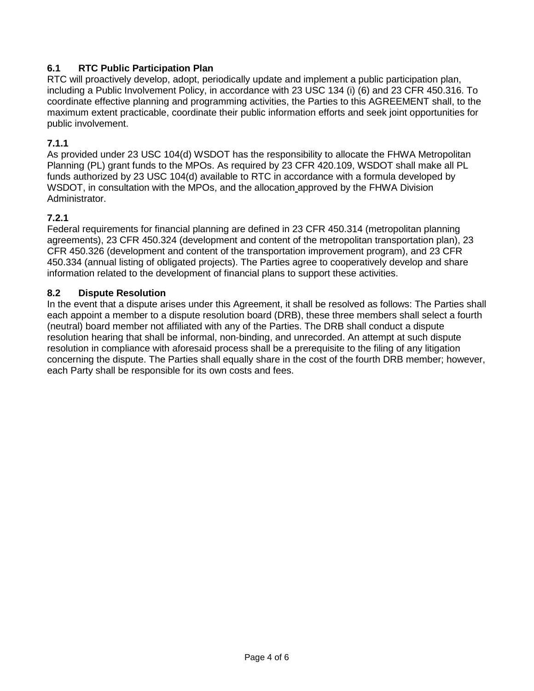## **6.1 RTC Public Participation Plan**

RTC will proactively develop, adopt, periodically update and implement a public participation plan, including a Public Involvement Policy, in accordance with 23 USC 134 (i) (6) and 23 CFR 450.316. To coordinate effective planning and programming activities, the Parties to this AGREEMENT shall, to the maximum extent practicable, coordinate their public information efforts and seek joint opportunities for public involvement.

#### **7.1.1**

As provided under 23 USC 104(d) WSDOT has the responsibility to allocate the FHWA Metropolitan Planning (PL) grant funds to the MPOs. As required by 23 CFR 420.109, WSDOT shall make all PL funds authorized by 23 USC 104(d) available to RTC in accordance with a formula developed by WSDOT, in consultation with the MPOs, and the allocation approved by the FHWA Division Administrator.

#### **7.2.1**

Federal requirements for financial planning are defined in 23 CFR 450.314 (metropolitan planning agreements), 23 CFR 450.324 (development and content of the metropolitan transportation plan), 23 CFR 450.326 (development and content of the transportation improvement program), and 23 CFR 450.334 (annual listing of obligated projects). The Parties agree to cooperatively develop and share information related to the development of financial plans to support these activities.

#### **8.2 Dispute Resolution**

In the event that a dispute arises under this Agreement, it shall be resolved as follows: The Parties shall each appoint a member to a dispute resolution board (DRB), these three members shall select a fourth (neutral) board member not affiliated with any of the Parties. The DRB shall conduct a dispute resolution hearing that shall be informal, non-binding, and unrecorded. An attempt at such dispute resolution in compliance with aforesaid process shall be a prerequisite to the filing of any litigation concerning the dispute. The Parties shall equally share in the cost of the fourth DRB member; however, each Party shall be responsible for its own costs and fees.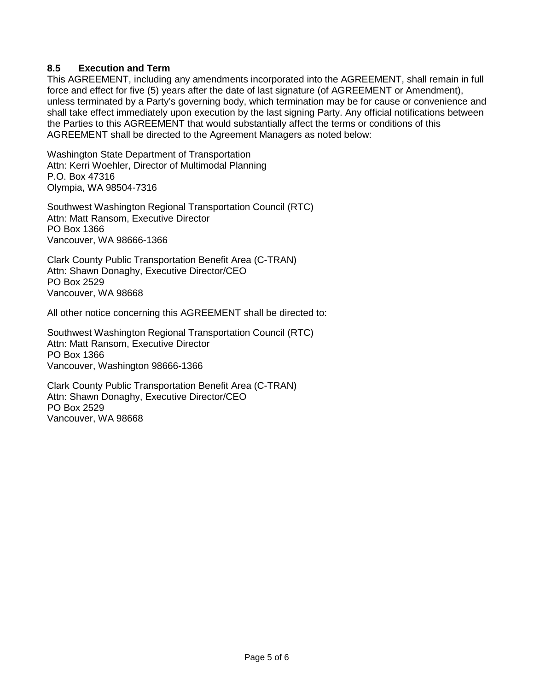#### **8.5 Execution and Term**

This AGREEMENT, including any amendments incorporated into the AGREEMENT, shall remain in full force and effect for five (5) years after the date of last signature (of AGREEMENT or Amendment), unless terminated by a Party's governing body, which termination may be for cause or convenience and shall take effect immediately upon execution by the last signing Party. Any official notifications between the Parties to this AGREEMENT that would substantially affect the terms or conditions of this AGREEMENT shall be directed to the Agreement Managers as noted below:

Washington State Department of Transportation Attn: Kerri Woehler, Director of Multimodal Planning P.O. Box 47316 Olympia, WA 98504-7316

Southwest Washington Regional Transportation Council (RTC) Attn: Matt Ransom, Executive Director PO Box 1366 Vancouver, WA 98666-1366

Clark County Public Transportation Benefit Area (C-TRAN) Attn: Shawn Donaghy, Executive Director/CEO PO Box 2529 Vancouver, WA 98668

All other notice concerning this AGREEMENT shall be directed to:

Southwest Washington Regional Transportation Council (RTC) Attn: Matt Ransom, Executive Director PO Box 1366 Vancouver, Washington 98666-1366

Clark County Public Transportation Benefit Area (C-TRAN) Attn: Shawn Donaghy, Executive Director/CEO PO Box 2529 Vancouver, WA 98668